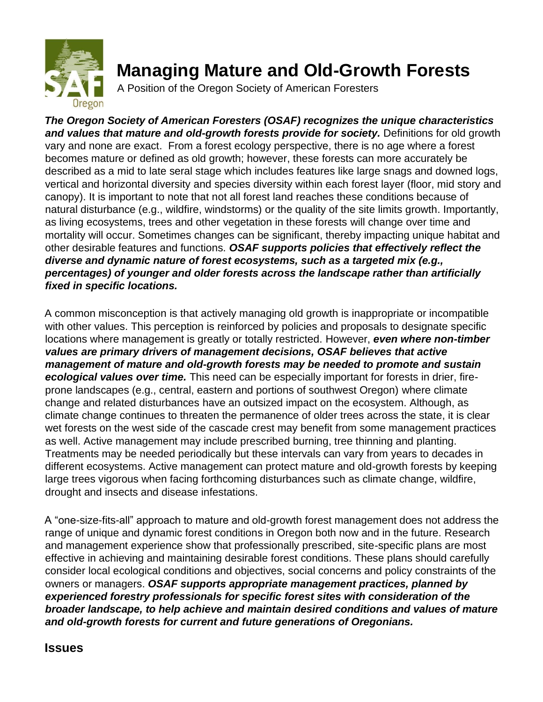

# **Managing Mature and Old-Growth Forests**

A Position of the Oregon Society of American Foresters

*The Oregon Society of American Foresters (OSAF) recognizes the unique characteristics*  and values that mature and old-growth forests provide for society. Definitions for old growth vary and none are exact. From a forest ecology perspective, there is no age where a forest becomes mature or defined as old growth; however, these forests can more accurately be described as a mid to late seral stage which includes features like large snags and downed logs, vertical and horizontal diversity and species diversity within each forest layer (floor, mid story and canopy). It is important to note that not all forest land reaches these conditions because of natural disturbance (e.g., wildfire, windstorms) or the quality of the site limits growth. Importantly, as living ecosystems, trees and other vegetation in these forests will change over time and mortality will occur. Sometimes changes can be significant, thereby impacting unique habitat and other desirable features and functions. *OSAF supports policies that effectively reflect the diverse and dynamic nature of forest ecosystems, such as a targeted mix (e.g., percentages) of younger and older forests across the landscape rather than artificially fixed in specific locations.*

A common misconception is that actively managing old growth is inappropriate or incompatible with other values. This perception is reinforced by policies and proposals to designate specific locations where management is greatly or totally restricted. However, *even where non-timber values are primary drivers of management decisions, OSAF believes that active management of mature and old-growth forests may be needed to promote and sustain ecological values over time.* This need can be especially important for forests in drier, fireprone landscapes (e.g., central, eastern and portions of southwest Oregon) where climate change and related disturbances have an outsized impact on the ecosystem. Although, as climate change continues to threaten the permanence of older trees across the state, it is clear wet forests on the west side of the cascade crest may benefit from some management practices as well. Active management may include prescribed burning, tree thinning and planting. Treatments may be needed periodically but these intervals can vary from years to decades in different ecosystems. Active management can protect mature and old-growth forests by keeping large trees vigorous when facing forthcoming disturbances such as climate change, wildfire, drought and insects and disease infestations.

A "one-size-fits-all" approach to mature and old-growth forest management does not address the range of unique and dynamic forest conditions in Oregon both now and in the future. Research and management experience show that professionally prescribed, site-specific plans are most effective in achieving and maintaining desirable forest conditions. These plans should carefully consider local ecological conditions and objectives, social concerns and policy constraints of the owners or managers. *OSAF supports appropriate management practices, planned by experienced forestry professionals for specific forest sites with consideration of the broader landscape, to help achieve and maintain desired conditions and values of mature and old-growth forests for current and future generations of Oregonians.*

### **Issues**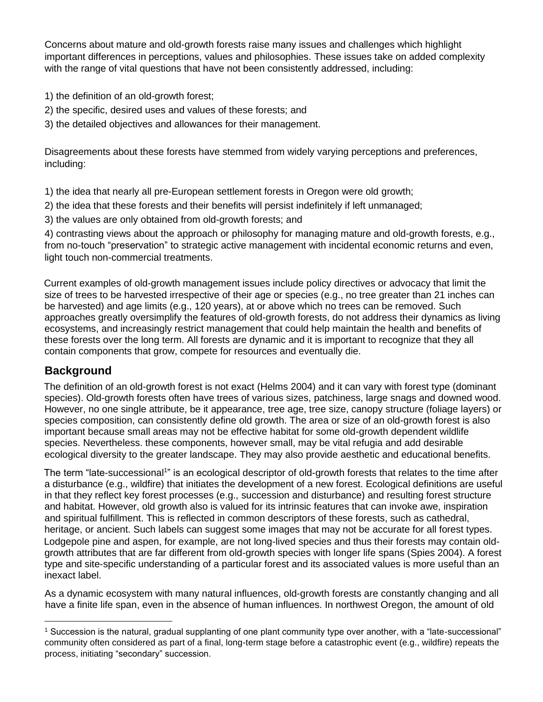Concerns about mature and old-growth forests raise many issues and challenges which highlight important differences in perceptions, values and philosophies. These issues take on added complexity with the range of vital questions that have not been consistently addressed, including:

- 1) the definition of an old-growth forest;
- 2) the specific, desired uses and values of these forests; and
- 3) the detailed objectives and allowances for their management.

Disagreements about these forests have stemmed from widely varying perceptions and preferences, including:

1) the idea that nearly all pre-European settlement forests in Oregon were old growth;

- 2) the idea that these forests and their benefits will persist indefinitely if left unmanaged;
- 3) the values are only obtained from old-growth forests; and

4) contrasting views about the approach or philosophy for managing mature and old-growth forests, e.g., from no-touch "preservation" to strategic active management with incidental economic returns and even, light touch non-commercial treatments.

Current examples of old-growth management issues include policy directives or advocacy that limit the size of trees to be harvested irrespective of their age or species (e.g., no tree greater than 21 inches can be harvested) and age limits (e.g., 120 years), at or above which no trees can be removed. Such approaches greatly oversimplify the features of old-growth forests, do not address their dynamics as living ecosystems, and increasingly restrict management that could help maintain the health and benefits of these forests over the long term. All forests are dynamic and it is important to recognize that they all contain components that grow, compete for resources and eventually die.

### **Background**

The definition of an old-growth forest is not exact (Helms 2004) and it can vary with forest type (dominant species). Old-growth forests often have trees of various sizes, patchiness, large snags and downed wood. However, no one single attribute, be it appearance, tree age, tree size, canopy structure (foliage layers) or species composition, can consistently define old growth. The area or size of an old-growth forest is also important because small areas may not be effective habitat for some old-growth dependent wildlife species. Nevertheless. these components, however small, may be vital refugia and add desirable ecological diversity to the greater landscape. They may also provide aesthetic and educational benefits.

The term "late-successional<sup>1</sup>" is an ecological descriptor of old-growth forests that relates to the time after a disturbance (e.g., wildfire) that initiates the development of a new forest. Ecological definitions are useful in that they reflect key forest processes (e.g., succession and disturbance) and resulting forest structure and habitat. However, old growth also is valued for its intrinsic features that can invoke awe, inspiration and spiritual fulfillment. This is reflected in common descriptors of these forests, such as cathedral, heritage, or ancient. Such labels can suggest some images that may not be accurate for all forest types. Lodgepole pine and aspen, for example, are not long-lived species and thus their forests may contain oldgrowth attributes that are far different from old-growth species with longer life spans (Spies 2004). A forest type and site-specific understanding of a particular forest and its associated values is more useful than an inexact label.

As a dynamic ecosystem with many natural influences, old-growth forests are constantly changing and all have a finite life span, even in the absence of human influences. In northwest Oregon, the amount of old

<sup>1</sup> Succession is the natural, gradual supplanting of one plant community type over another, with a "late-successional" community often considered as part of a final, long-term stage before a catastrophic event (e.g., wildfire) repeats the process, initiating "secondary" succession.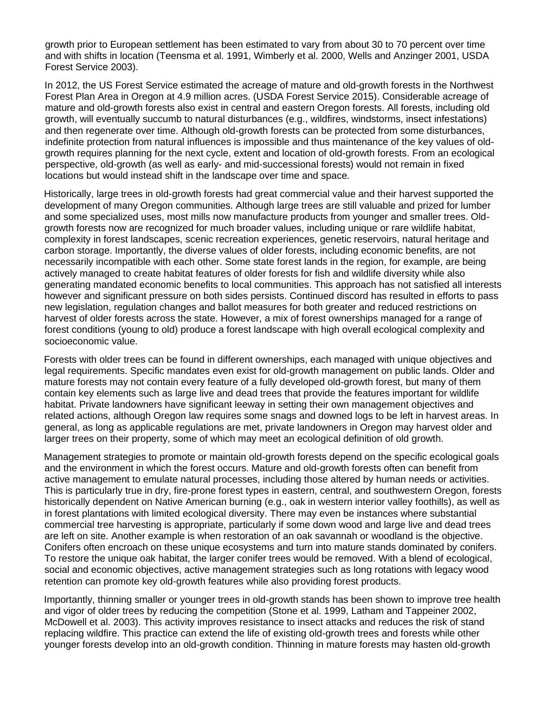growth prior to European settlement has been estimated to vary from about 30 to 70 percent over time and with shifts in location (Teensma et al. 1991, Wimberly et al. 2000, Wells and Anzinger 2001, USDA Forest Service 2003).

In 2012, the US Forest Service estimated the acreage of mature and old-growth forests in the Northwest Forest Plan Area in Oregon at 4.9 million acres. (USDA Forest Service 2015). Considerable acreage of mature and old-growth forests also exist in central and eastern Oregon forests. All forests, including old growth, will eventually succumb to natural disturbances (e.g., wildfires, windstorms, insect infestations) and then regenerate over time. Although old-growth forests can be protected from some disturbances, indefinite protection from natural influences is impossible and thus maintenance of the key values of oldgrowth requires planning for the next cycle, extent and location of old-growth forests. From an ecological perspective, old-growth (as well as early- and mid-successional forests) would not remain in fixed locations but would instead shift in the landscape over time and space.

Historically, large trees in old-growth forests had great commercial value and their harvest supported the development of many Oregon communities. Although large trees are still valuable and prized for lumber and some specialized uses, most mills now manufacture products from younger and smaller trees. Oldgrowth forests now are recognized for much broader values, including unique or rare wildlife habitat, complexity in forest landscapes, scenic recreation experiences, genetic reservoirs, natural heritage and carbon storage. Importantly, the diverse values of older forests, including economic benefits, are not necessarily incompatible with each other. Some state forest lands in the region, for example, are being actively managed to create habitat features of older forests for fish and wildlife diversity while also generating mandated economic benefits to local communities. This approach has not satisfied all interests however and significant pressure on both sides persists. Continued discord has resulted in efforts to pass new legislation, regulation changes and ballot measures for both greater and reduced restrictions on harvest of older forests across the state. However, a mix of forest ownerships managed for a range of forest conditions (young to old) produce a forest landscape with high overall ecological complexity and socioeconomic value.

Forests with older trees can be found in different ownerships, each managed with unique objectives and legal requirements. Specific mandates even exist for old-growth management on public lands. Older and mature forests may not contain every feature of a fully developed old-growth forest, but many of them contain key elements such as large live and dead trees that provide the features important for wildlife habitat. Private landowners have significant leeway in setting their own management objectives and related actions, although Oregon law requires some snags and downed logs to be left in harvest areas. In general, as long as applicable regulations are met, private landowners in Oregon may harvest older and larger trees on their property, some of which may meet an ecological definition of old growth.

Management strategies to promote or maintain old-growth forests depend on the specific ecological goals and the environment in which the forest occurs. Mature and old-growth forests often can benefit from active management to emulate natural processes, including those altered by human needs or activities. This is particularly true in dry, fire-prone forest types in eastern, central, and southwestern Oregon, forests historically dependent on Native American burning (e.g., oak in western interior valley foothills), as well as in forest plantations with limited ecological diversity. There may even be instances where substantial commercial tree harvesting is appropriate, particularly if some down wood and large live and dead trees are left on site. Another example is when restoration of an oak savannah or woodland is the objective. Conifers often encroach on these unique ecosystems and turn into mature stands dominated by conifers. To restore the unique oak habitat, the larger conifer trees would be removed. With a blend of ecological, social and economic objectives, active management strategies such as long rotations with legacy wood retention can promote key old-growth features while also providing forest products.

Importantly, thinning smaller or younger trees in old-growth stands has been shown to improve tree health and vigor of older trees by reducing the competition (Stone et al. 1999, Latham and Tappeiner 2002, McDowell et al. 2003). This activity improves resistance to insect attacks and reduces the risk of stand replacing wildfire. This practice can extend the life of existing old-growth trees and forests while other younger forests develop into an old-growth condition. Thinning in mature forests may hasten old-growth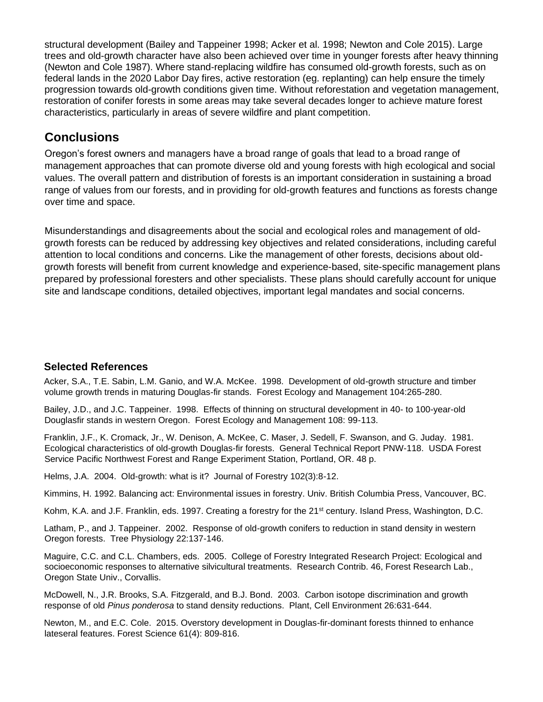structural development (Bailey and Tappeiner 1998; Acker et al. 1998; Newton and Cole 2015). Large trees and old-growth character have also been achieved over time in younger forests after heavy thinning (Newton and Cole 1987). Where stand-replacing wildfire has consumed old-growth forests, such as on federal lands in the 2020 Labor Day fires, active restoration (eg. replanting) can help ensure the timely progression towards old-growth conditions given time. Without reforestation and vegetation management, restoration of conifer forests in some areas may take several decades longer to achieve mature forest characteristics, particularly in areas of severe wildfire and plant competition.

## **Conclusions**

Oregon's forest owners and managers have a broad range of goals that lead to a broad range of management approaches that can promote diverse old and young forests with high ecological and social values. The overall pattern and distribution of forests is an important consideration in sustaining a broad range of values from our forests, and in providing for old-growth features and functions as forests change over time and space.

Misunderstandings and disagreements about the social and ecological roles and management of oldgrowth forests can be reduced by addressing key objectives and related considerations, including careful attention to local conditions and concerns. Like the management of other forests, decisions about oldgrowth forests will benefit from current knowledge and experience-based, site-specific management plans prepared by professional foresters and other specialists. These plans should carefully account for unique site and landscape conditions, detailed objectives, important legal mandates and social concerns.

#### **Selected References**

Acker, S.A., T.E. Sabin, L.M. Ganio, and W.A. McKee. 1998. Development of old-growth structure and timber volume growth trends in maturing Douglas-fir stands. Forest Ecology and Management 104:265-280.

Bailey, J.D., and J.C. Tappeiner. 1998. Effects of thinning on structural development in 40- to 100-year-old Douglasfir stands in western Oregon. Forest Ecology and Management 108: 99-113.

Franklin, J.F., K. Cromack, Jr., W. Denison, A. McKee, C. Maser, J. Sedell, F. Swanson, and G. Juday. 1981. Ecological characteristics of old-growth Douglas-fir forests. General Technical Report PNW-118. USDA Forest Service Pacific Northwest Forest and Range Experiment Station, Portland, OR. 48 p.

Helms, J.A. 2004. Old-growth: what is it? Journal of Forestry 102(3):8-12.

Kimmins, H. 1992. Balancing act: Environmental issues in forestry. Univ. British Columbia Press, Vancouver, BC.

Kohm, K.A. and J.F. Franklin, eds. 1997. Creating a forestry for the 21<sup>st</sup> century. Island Press, Washington, D.C.

Latham, P., and J. Tappeiner. 2002. Response of old-growth conifers to reduction in stand density in western Oregon forests. Tree Physiology 22:137-146.

Maguire, C.C. and C.L. Chambers, eds. 2005. College of Forestry Integrated Research Project: Ecological and socioeconomic responses to alternative silvicultural treatments. Research Contrib. 46, Forest Research Lab., Oregon State Univ., Corvallis.

McDowell, N., J.R. Brooks, S.A. Fitzgerald, and B.J. Bond. 2003. Carbon isotope discrimination and growth response of old *Pinus ponderosa* to stand density reductions. Plant, Cell Environment 26:631-644.

Newton, M., and E.C. Cole. 2015. Overstory development in Douglas-fir-dominant forests thinned to enhance lateseral features. Forest Science 61(4): 809-816.